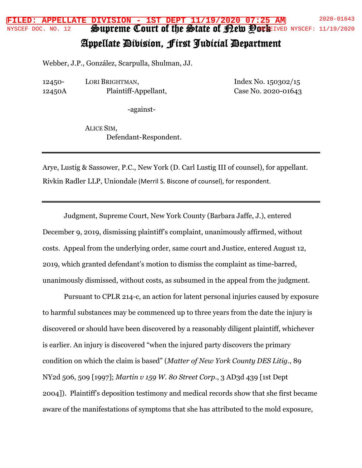## Supreme Court of the State of Dew Pork **FILED: APPELLATE DIVISION - 1ST DEPT 11/19/2020 07:25 AM** 2020-01643 NYSCEF DOC. NO. 12 SPUDIEME COUII OI INE SOIAIE OI ELEM POCEFIVED NYSCEF: 11/19/2020

## Appellate Division, First Judicial Department

Webber, J.P., González, Scarpulla, Shulman, JJ.

12450- 12450A LORI BRIGHTMAN, Plaintiff-Appellant, Index No. 150302/15 Case No. 2020-01643

-against-

ALICE SIM, Defendant-Respondent.

Arye, Lustig & Sassower, P.C., New York (D. Carl Lustig III of counsel), for appellant. Rivkin Radler LLP, Uniondale (Merril S. Biscone of counsel), for respondent.

Judgment, Supreme Court, New York County (Barbara Jaffe, J.), entered December 9, 2019, dismissing plaintiff's complaint, unanimously affirmed, without costs. Appeal from the underlying order, same court and Justice, entered August 12, 2019, which granted defendant's motion to dismiss the complaint as time-barred, unanimously dismissed, without costs, as subsumed in the appeal from the judgment.

Pursuant to CPLR 214-c, an action for latent personal injuries caused by exposure to harmful substances may be commenced up to three years from the date the injury is discovered or should have been discovered by a reasonably diligent plaintiff, whichever is earlier. An injury is discovered "when the injured party discovers the primary condition on which the claim is based" (*Matter of New York County DES Litig.*, 89 NY2d 506, 509 [1997]; *Martin v 159 W. 80 Street Corp*., 3 AD3d 439 [1st Dept 2004]). Plaintiff's deposition testimony and medical records show that she first became aware of the manifestations of symptoms that she has attributed to the mold exposure,